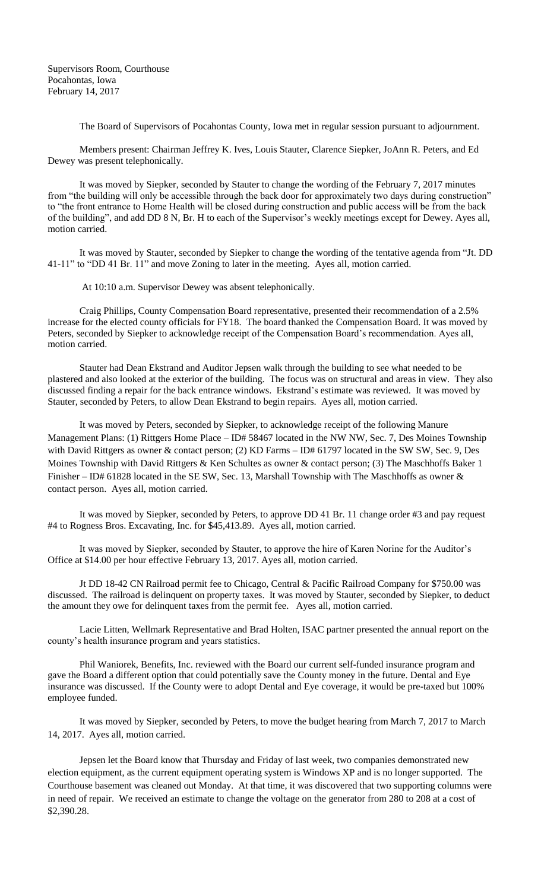The Board of Supervisors of Pocahontas County, Iowa met in regular session pursuant to adjournment.

Members present: Chairman Jeffrey K. Ives, Louis Stauter, Clarence Siepker, JoAnn R. Peters, and Ed Dewey was present telephonically.

It was moved by Siepker, seconded by Stauter to change the wording of the February 7, 2017 minutes from "the building will only be accessible through the back door for approximately two days during construction" to "the front entrance to Home Health will be closed during construction and public access will be from the back of the building", and add DD 8 N, Br. H to each of the Supervisor's weekly meetings except for Dewey. Ayes all, motion carried.

It was moved by Stauter, seconded by Siepker to change the wording of the tentative agenda from "Jt. DD 41-11" to "DD 41 Br. 11" and move Zoning to later in the meeting. Ayes all, motion carried.

At 10:10 a.m. Supervisor Dewey was absent telephonically.

Craig Phillips, County Compensation Board representative, presented their recommendation of a 2.5% increase for the elected county officials for FY18. The board thanked the Compensation Board. It was moved by Peters, seconded by Siepker to acknowledge receipt of the Compensation Board's recommendation. Ayes all, motion carried.

Stauter had Dean Ekstrand and Auditor Jepsen walk through the building to see what needed to be plastered and also looked at the exterior of the building. The focus was on structural and areas in view. They also discussed finding a repair for the back entrance windows. Ekstrand's estimate was reviewed. It was moved by Stauter, seconded by Peters, to allow Dean Ekstrand to begin repairs. Ayes all, motion carried.

It was moved by Peters, seconded by Siepker, to acknowledge receipt of the following Manure Management Plans: (1) Rittgers Home Place – ID# 58467 located in the NW NW, Sec. 7, Des Moines Township with David Rittgers as owner & contact person; (2) KD Farms – ID# 61797 located in the SW SW, Sec. 9, Des Moines Township with David Rittgers & Ken Schultes as owner & contact person; (3) The Maschhoffs Baker 1 Finisher – ID# 61828 located in the SE SW, Sec. 13, Marshall Township with The Maschhoffs as owner & contact person. Ayes all, motion carried.

It was moved by Siepker, seconded by Peters, to approve DD 41 Br. 11 change order #3 and pay request #4 to Rogness Bros. Excavating, Inc. for \$45,413.89. Ayes all, motion carried.

It was moved by Siepker, seconded by Stauter, to approve the hire of Karen Norine for the Auditor's Office at \$14.00 per hour effective February 13, 2017. Ayes all, motion carried.

Jt DD 18-42 CN Railroad permit fee to Chicago, Central & Pacific Railroad Company for \$750.00 was discussed. The railroad is delinquent on property taxes. It was moved by Stauter, seconded by Siepker, to deduct the amount they owe for delinquent taxes from the permit fee. Ayes all, motion carried.

Lacie Litten, Wellmark Representative and Brad Holten, ISAC partner presented the annual report on the county's health insurance program and years statistics.

Phil Waniorek, Benefits, Inc. reviewed with the Board our current self-funded insurance program and gave the Board a different option that could potentially save the County money in the future. Dental and Eye insurance was discussed. If the County were to adopt Dental and Eye coverage, it would be pre-taxed but 100% employee funded.

It was moved by Siepker, seconded by Peters, to move the budget hearing from March 7, 2017 to March 14, 2017. Ayes all, motion carried.

Jepsen let the Board know that Thursday and Friday of last week, two companies demonstrated new election equipment, as the current equipment operating system is Windows XP and is no longer supported. The Courthouse basement was cleaned out Monday. At that time, it was discovered that two supporting columns were in need of repair. We received an estimate to change the voltage on the generator from 280 to 208 at a cost of \$2,390.28.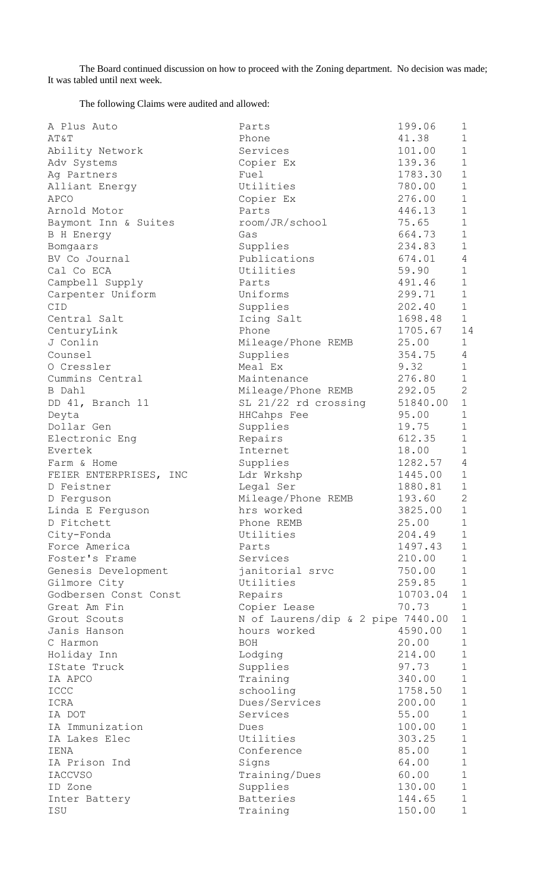The Board continued discussion on how to proceed with the Zoning department. No decision was made; It was tabled until next week.

The following Claims were audited and allowed:

| A Plus Auto            | Parts                             | 199.06         | $\mathbf 1$    |
|------------------------|-----------------------------------|----------------|----------------|
| AT&T                   | Phone                             | 41.38          | $\mathbf 1$    |
| Ability Network        | Services                          | 101.00         | $\mathbf 1$    |
| Adv Systems            | Copier Ex                         | 139.36         | $\mathbf 1$    |
| Ag Partners            | Fuel                              | 1783.30        | $\mathbf 1$    |
| Alliant Energy         | Utilities                         | 780.00         | $\mathbf 1$    |
| <b>APCO</b>            | Copier Ex                         | 276.00         | $\mathbf 1$    |
| Arnold Motor           | Parts                             | 446.13         | $\mathbf 1$    |
| Baymont Inn & Suites   | room/JR/school                    | 75.65          | $\mathbf 1$    |
| B H Energy             | Gas                               | 664.73         | $\mathbf 1$    |
| Bomgaars               | Supplies                          | 234.83         | $\mathbf 1$    |
| BV Co Journal          | Publications                      | 674.01         | $\overline{4}$ |
| Cal Co ECA             | Utilities                         | 59.90          | $\mathbf 1$    |
| Campbell Supply        | Parts                             | 491.46         | $\mathbf 1$    |
| Carpenter Uniform      | Uniforms                          | 299.71         | $\mathbf{1}$   |
| CID                    | Supplies                          | 202.40         | $\mathbf{1}$   |
| Central Salt           | Icing Salt                        | 1698.48        | $\mathbf 1$    |
| CenturyLink            | Phone                             | 1705.67 14     |                |
| J Conlin               | Mileage/Phone REMB                | 25.00          | $\mathbf 1$    |
| Counsel                | Supplies                          | 354.75         | $\overline{4}$ |
| O Cressler             | Meal Ex                           | 9.32           | $\mathbf 1$    |
| Cummins Central        | Maintenance                       | 276.80         | $\mathbf 1$    |
| B Dahl                 | Mileage/Phone REMB                | 292.05         | 2              |
| DD 41, Branch 11       | SL 21/22 rd crossing              | 51840.00       | $\mathbf 1$    |
| Deyta                  | HHCahps Fee                       | 95.00          | $\mathbf 1$    |
| Dollar Gen             | Supplies                          | 19.75          | $\mathbf 1$    |
| Electronic Eng         | Repairs                           | 612.35         | $\mathbf 1$    |
| Evertek                | Internet                          | 18.00          | $\mathbf 1$    |
| Farm & Home            | Supplies                          | 1282.57        | $\overline{4}$ |
| FEIER ENTERPRISES, INC | Ldr Wrkshp                        | 1445.00        | $\mathbf 1$    |
| D Feistner             | Legal Ser                         | 1880.81        | $\mathbf 1$    |
| D Ferguson             | Mileage/Phone REMB                | 193.60         | $\mathbf{2}$   |
| Linda E Ferguson       | hrs worked                        | 3825.00        | $\mathbf{1}$   |
| D Fitchett             | Phone REMB                        | 25.00          | $\mathbf 1$    |
| City-Fonda             | Utilities                         | 204.49         | $\mathbf 1$    |
| Force America          | Parts                             | 1497.43        | $\mathbf 1$    |
| Foster's Frame         | Services                          | 210.00         | $\mathbf{1}$   |
| Genesis Development    | janitorial srvc                   | 750.00         | $\mathbf 1$    |
| Gilmore City           | Utilities                         | 259.85         | $\mathbf 1$    |
| Godbersen Const Const  | Repairs                           | 10703.04       | $\mathbf 1$    |
| Great Am Fin           | Copier Lease                      | 70.73          | $\mathbf 1$    |
| Grout Scouts           | N of Laurens/dip & 2 pipe 7440.00 |                | $\mathbf 1$    |
| Janis Hanson           | hours worked                      | 4590.00        | $\mathbf 1$    |
| C Harmon               | <b>BOH</b>                        | 20.00          | $\mathbf 1$    |
| Holiday Inn            | Lodging                           | 214.00         | $\mathbf 1$    |
| IState Truck           | Supplies                          | 97.73          | $\mathbf 1$    |
| IA APCO                | Training                          | 340.00         | $\mathbf 1$    |
| ICCC                   | schooling                         | 1758.50        | $\mathbf 1$    |
| ICRA                   | Dues/Services                     | 200.00         | $1\,$          |
| IA DOT                 | Services                          | 55.00          | $\mathbf 1$    |
| IA Immunization        | Dues                              | 100.00         | $\mathbf 1$    |
| IA Lakes Elec          | Utilities                         | 303.25         | $\mathbf 1$    |
|                        |                                   |                | $\mathbf 1$    |
| IENA<br>IA Prison Ind  | Conference                        | 85.00<br>64.00 | $\mathbf 1$    |
|                        | Signs                             |                | $\mathbf 1$    |
| IACCVSO                | Training/Dues                     | 60.00          | $\mathbf 1$    |
| ID Zone                | Supplies                          | 130.00         | $\mathbf 1$    |
| Inter Battery          | Batteries                         | 144.65         | $\mathbf 1$    |
| ISU                    | Training                          | 150.00         |                |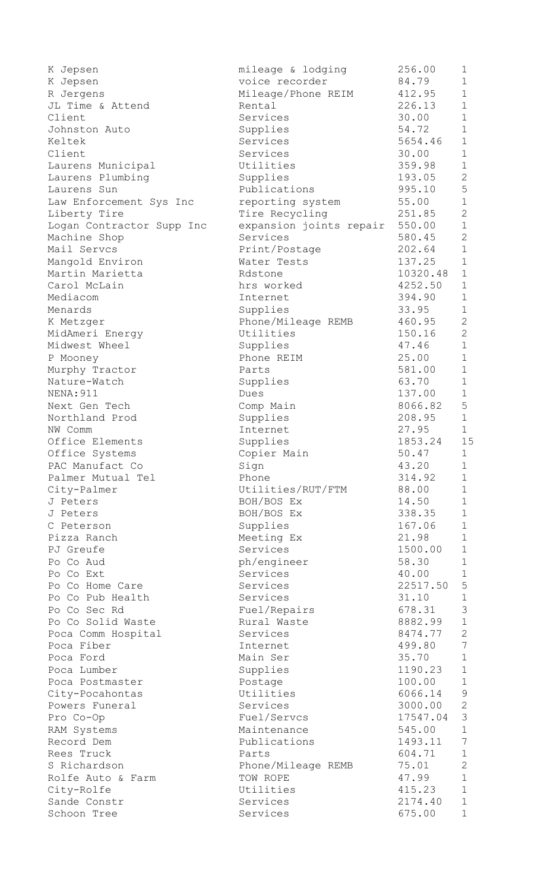| K Jepsen                  | mileage & lodging       | 256.00   | 1                |
|---------------------------|-------------------------|----------|------------------|
| K Jepsen                  | voice recorder          | 84.79    | $\mathbf 1$      |
| R Jergens                 | Mileage/Phone REIM      | 412.95   | $\mathbf 1$      |
| JL Time & Attend          | Rental                  | 226.13   | $\mathbf 1$      |
| Client                    | Services                | 30.00    | $\mathbf 1$      |
| Johnston Auto             | Supplies                | 54.72    | $\mathbf 1$      |
| Keltek                    | Services                | 5654.46  | $\mathbf 1$      |
| Client                    | Services                | 30.00    | $\mathbf 1$      |
| Laurens Municipal         | Utilities               | 359.98   | $\mathbf 1$      |
| Laurens Plumbing          | Supplies                | 193.05   | 2                |
| Laurens Sun               | Publications            | 995.10   | $\overline{5}$   |
| Law Enforcement Sys Inc   | reporting system        | 55.00    | $\mathbf 1$      |
| Liberty Tire              | Tire Recycling          | 251.85   | $\mathbf{2}$     |
| Logan Contractor Supp Inc | expansion joints repair | 550.00   | $\mathbf 1$      |
| Machine Shop              | Services                | 580.45   | $\overline{2}$   |
| Mail Servcs               | Print/Postage           | 202.64   | $\mathbf 1$      |
| Mangold Environ           | Water Tests             | 137.25   | $\mathbf{1}$     |
| Martin Marietta           | Rdstone                 | 10320.48 | $\mathbf{1}$     |
| Carol McLain              | hrs worked              | 4252.50  | $\mathbf 1$      |
| Mediacom                  | Internet                | 394.90   | $\mathbf 1$      |
| Menards                   | Supplies                | 33.95    | $\mathbf 1$      |
| K Metzger                 | Phone/Mileage REMB      | 460.95   | $\mathbf{2}$     |
| MidAmeri Energy           | Utilities               | 150.16   | $\overline{2}$   |
| Midwest Wheel             | Supplies                | 47.46    | $\mathbf 1$      |
| P Mooney                  | Phone REIM              | 25.00    | $\mathbf 1$      |
| Murphy Tractor            | Parts                   | 581.00   | $\mathbf 1$      |
| Nature-Watch              | Supplies                | 63.70    | $\mathbf 1$      |
| <b>NENA: 911</b>          | Dues                    | 137.00   | $\mathbf 1$      |
| Next Gen Tech             | Comp Main               | 8066.82  | 5                |
| Northland Prod            | Supplies                | 208.95   | $\mathbf 1$      |
| NW Comm                   | Internet                | 27.95    | $\mathbf{1}$     |
| Office Elements           | Supplies                | 1853.24  | 15               |
| Office Systems            | Copier Main             | 50.47    | $\mathbf 1$      |
| PAC Manufact Co           | Sign                    | 43.20    | 1                |
| Palmer Mutual Tel         | Phone                   | 314.92   | $\mathbf 1$      |
| City-Palmer               | Utilities/RUT/FTM       | 88.00    | $\mathbf 1$      |
| J Peters                  | BOH/BOS Ex              | 14.50    | $\mathbf 1$      |
| J Peters                  | BOH/BOS Ex              | 338.35   | $\mathbf 1$      |
| C Peterson                | Supplies                | 167.06   | $\mathbf 1$      |
| Pizza Ranch               | Meeting Ex              | 21.98    | $\mathbf 1$      |
| PJ Greufe                 | Services                | 1500.00  | $\mathbf 1$      |
|                           |                         |          | $\mathbf 1$      |
| Po Co Aud                 | ph/engineer             | 58.30    |                  |
| Po Co Ext                 | Services                | 40.00    | $\mathbf 1$<br>5 |
| Po Co Home Care           | Services                | 22517.50 |                  |
| Po Co Pub Health          | Services                | 31.10    | $\mathbf 1$      |
| Po Co Sec Rd              | Fuel/Repairs            | 678.31   | $\mathcal{S}$    |
| Po Co Solid Waste         | Rural Waste             | 8882.99  | $\mathbf 1$      |
| Poca Comm Hospital        | Services                | 8474.77  | $\mathbf{2}$     |
| Poca Fiber                | Internet                | 499.80   | 7                |
| Poca Ford                 | Main Ser                | 35.70    | $\mathbf{1}$     |
| Poca Lumber               | Supplies                | 1190.23  | $\mathbf 1$      |
| Poca Postmaster           | Postage                 | 100.00   | $\mathbf{1}$     |
| City-Pocahontas           | Utilities               | 6066.14  | $\overline{9}$   |
| Powers Funeral            | Services                | 3000.00  | $\mathbf{2}$     |
| Pro Co-Op                 | Fuel/Servcs             | 17547.04 | $\mathcal{S}$    |
| RAM Systems               | Maintenance             | 545.00   | $\mathbf 1$      |
| Record Dem                | Publications            | 1493.11  | $7\phantom{.0}$  |
| Rees Truck                | Parts                   | 604.71   | $\mathbf 1$      |
| S Richardson              | Phone/Mileage REMB      | 75.01    | 2                |
| Rolfe Auto & Farm         | TOW ROPE                | 47.99    | $\mathbf 1$      |
| City-Rolfe                | Utilities               | 415.23   | $\mathbf 1$      |
| Sande Constr              | Services                | 2174.40  | $\mathbf 1$      |
| Schoon Tree               | Services                | 675.00   | $\mathbf{1}$     |